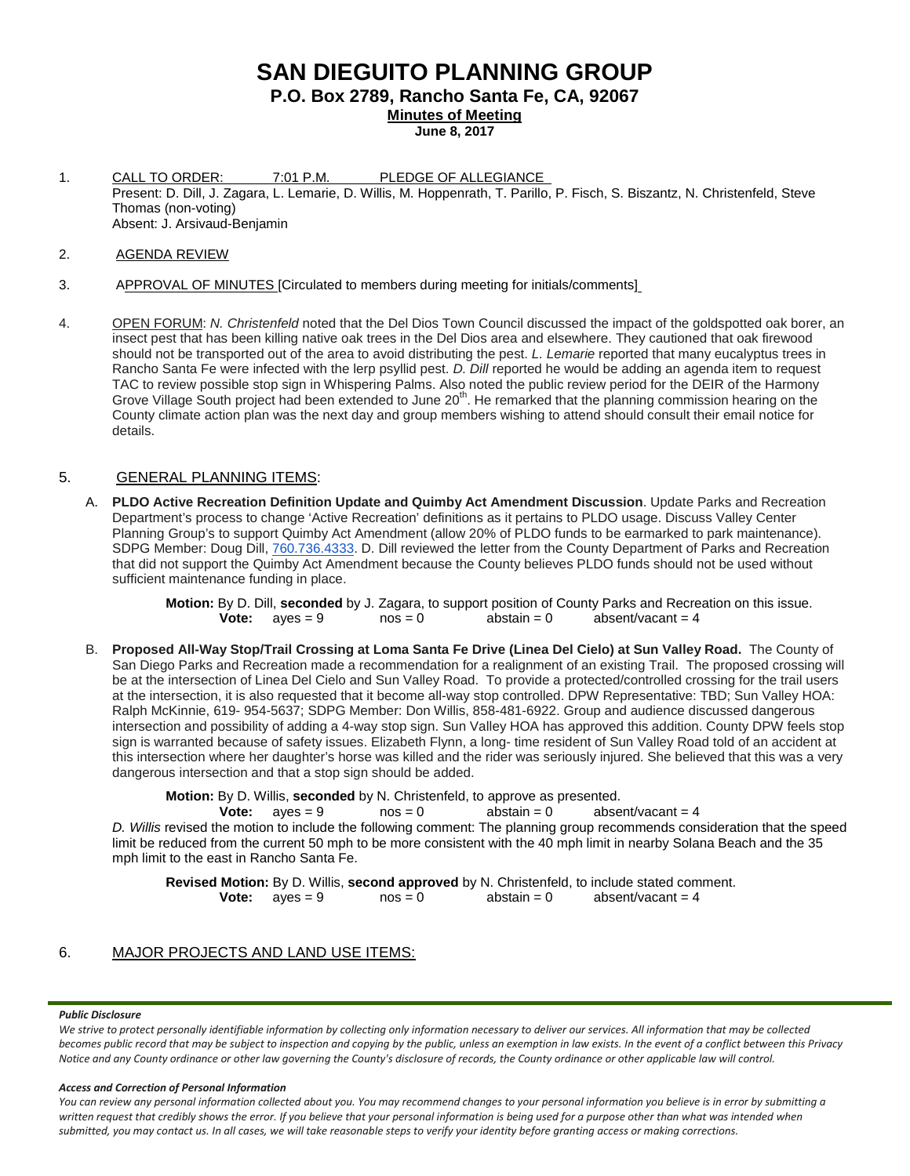# **SAN DIEGUITO PLANNING GROUP**

**P.O. Box 2789, Rancho Santa Fe, CA, 92067**

**Minutes of Meeting**

**June 8, 2017**

- 1. CALL TO ORDER: 7:01 P.M. PLEDGE OF ALLEGIANCE Present: D. Dill, J. Zagara, L. Lemarie, D. Willis, M. Hoppenrath, T. Parillo, P. Fisch, S. Biszantz, N. Christenfeld, Steve Thomas (non-voting) Absent: J. Arsivaud-Benjamin
- 2. AGENDA REVIEW
- 3. APPROVAL OF MINUTES [Circulated to members during meeting for initials/comments]
- 4. OPEN FORUM: *N. Christenfeld* noted that the Del Dios Town Council discussed the impact of the goldspotted oak borer, an insect pest that has been killing native oak trees in the Del Dios area and elsewhere. They cautioned that oak firewood should not be transported out of the area to avoid distributing the pest. *L. Lemarie* reported that many eucalyptus trees in Rancho Santa Fe were infected with the lerp psyllid pest. *D. Dill* reported he would be adding an agenda item to request TAC to review possible stop sign in Whispering Palms. Also noted the public review period for the DEIR of the Harmony Grove Village South project had been extended to June 20<sup>th</sup>. He remarked that the planning commission hearing on the County climate action plan was the next day and group members wishing to attend should consult their email notice for details.

## 5. GENERAL PLANNING ITEMS:

A. **PLDO Active Recreation Definition Update and Quimby Act Amendment Discussion**. Update Parks and Recreation Department's process to change 'Active Recreation' definitions as it pertains to PLDO usage. Discuss Valley Center Planning Group's to support Quimby Act Amendment (allow 20% of PLDO funds to be earmarked to park maintenance). SDPG Member: Doug Dill, [760.736.4333.](tel:(760)%20736-4333) D. Dill reviewed the letter from the County Department of Parks and Recreation that did not support the Quimby Act Amendment because the County believes PLDO funds should not be used without sufficient maintenance funding in place.

> **Motion:** By D. Dill, **seconded** by J. Zagara, to support position of County Parks and Recreation on this issue. **Vote:**  $a$  ves = 9  $b$  nos = 0  $a$ bstain = 0  $a$   $b$ sent/vacant = 4

B. **Proposed All-Way Stop/Trail Crossing at Loma Santa Fe Drive (Linea Del Cielo) at Sun Valley Road.** The County of San Diego Parks and Recreation made a recommendation for a realignment of an existing Trail. The proposed crossing will be at the intersection of Linea Del Cielo and Sun Valley Road. To provide a protected/controlled crossing for the trail users at the intersection, it is also requested that it become all-way stop controlled. DPW Representative: TBD; Sun Valley HOA: Ralph McKinnie, 619- [954-5637;](tel:(619)%20954-5637) SDPG Member: Don Willis, [858-481-6922.](tel:(858)%20481-6922) Group and audience discussed dangerous intersection and possibility of adding a 4-way stop sign. Sun Valley HOA has approved this addition. County DPW feels stop sign is warranted because of safety issues. Elizabeth Flynn, a long- time resident of Sun Valley Road told of an accident at this intersection where her daughter's horse was killed and the rider was seriously injured. She believed that this was a very dangerous intersection and that a stop sign should be added.

**Motion:** By D. Willis, **seconded** by N. Christenfeld, to approve as presented.<br> **Vote:** aves = 9 nos = 0 abstain = 0 abse

**Vote:**  $aves = 9$   $nos = 0$   $abstant/vacant = 4$ *D. Willis* revised the motion to include the following comment: The planning group recommends consideration that the speed limit be reduced from the current 50 mph to be more consistent with the 40 mph limit in nearby Solana Beach and the 35 mph limit to the east in Rancho Santa Fe.

**Revised Motion:** By D. Willis, **second approved** by N. Christenfeld, to include stated comment.<br> **Vote:** aves = 9 nos = 0 abstain = 0 absent/vacant = 4 **Vote:**  $ayes = 9$ 

## 6. MAJOR PROJECTS AND LAND USE ITEMS:

#### *Public Disclosure*

*We strive to protect personally identifiable information by collecting only information necessary to deliver our services. All information that may be collected becomes public record that may be subject to inspection and copying by the public, unless an exemption in law exists. In the event of a conflict between this Privacy Notice and any County ordinance or other law governing the County's disclosure of records, the County ordinance or other applicable law will control.*

#### *Access and Correction of Personal Information*

*You can review any personal information collected about you. You may recommend changes to your personal information you believe is in error by submitting a*  written request that credibly shows the error. If you believe that your personal information is being used for a purpose other than what was intended when *submitted, you may contact us. In all cases, we will take reasonable steps to verify your identity before granting access or making corrections.*